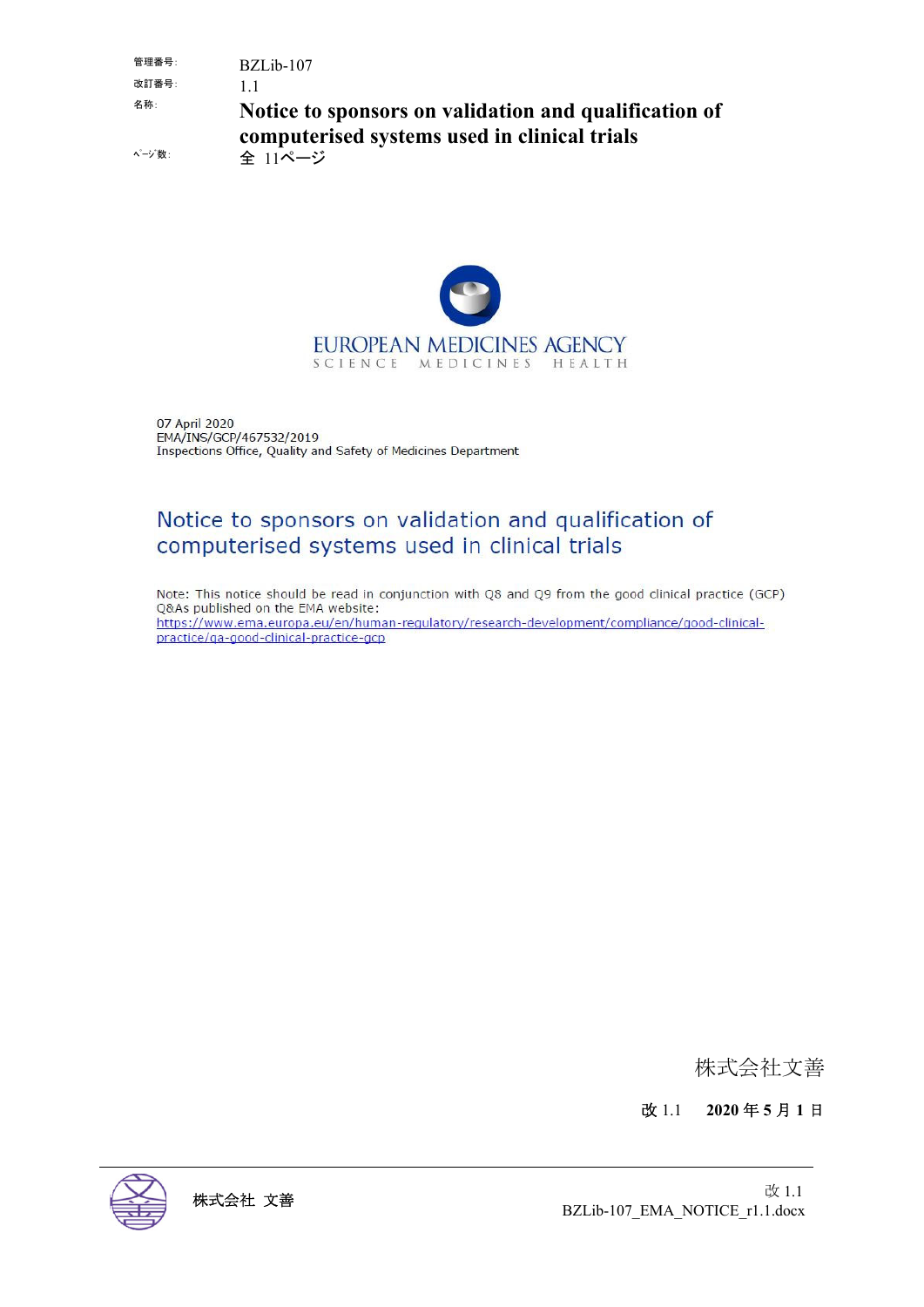管理番号: BZLib-107 改訂番号: 1.1 名称: **Notice to sponsors on validation and qualification of computerised systems used in clinical trials** ページ数: 全 11ページ



07 April 2020 EMA/INS/GCP/467532/2019 Inspections Office, Quality and Safety of Medicines Department

## Notice to sponsors on validation and qualification of computerised systems used in clinical trials

Note: This notice should be read in conjunction with Q8 and Q9 from the good clinical practice (GCP) Q&As published on the EMA website: https://www.ema.europa.eu/en/human-regulatory/research-development/compliance/good-clinicalpractice/ga-good-clinical-practice-gcp

株式会社文善

改 1.1 **2020** 年 **5** 月 **1** 日

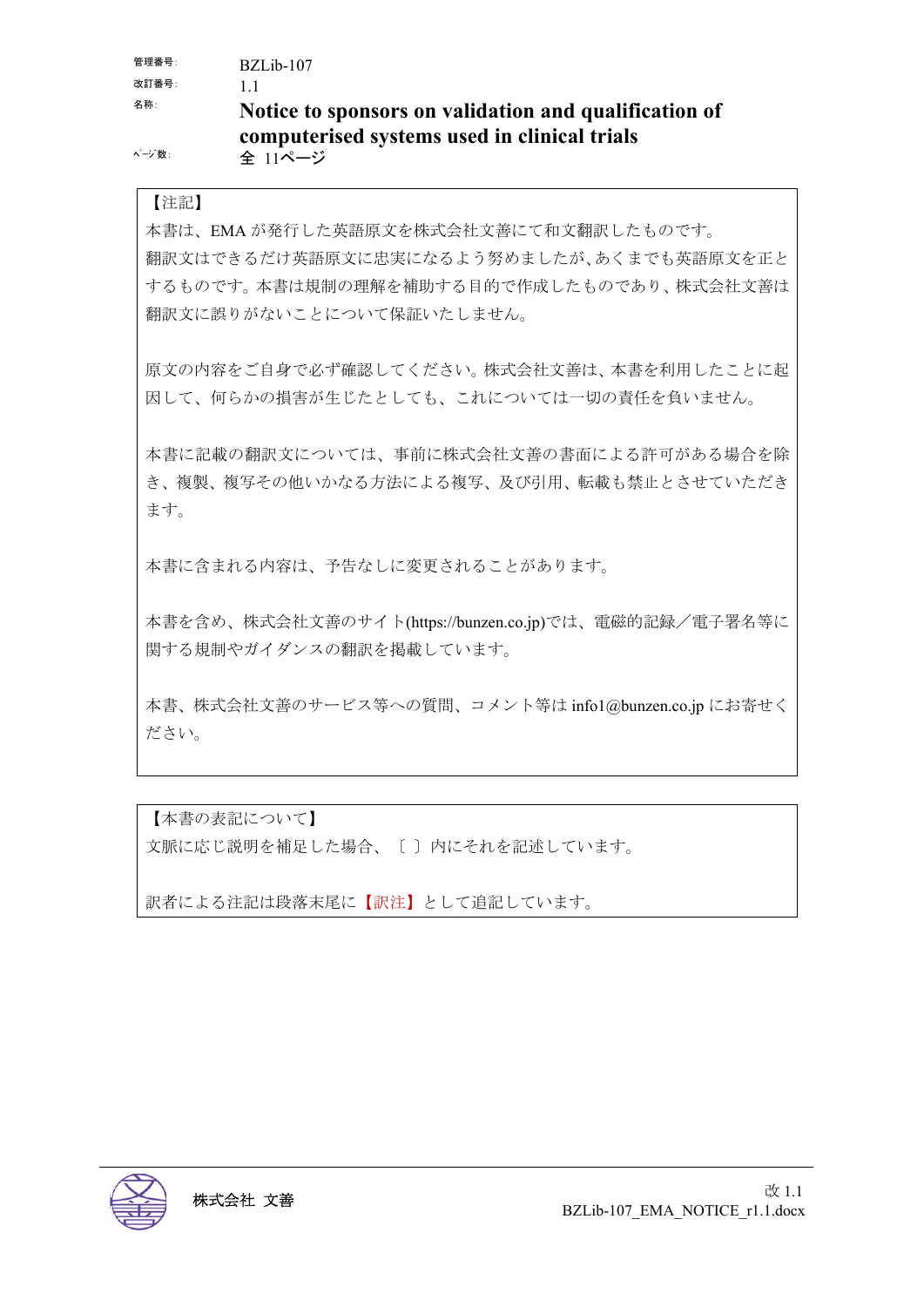管理番号: BZLib-107 改訂番号: 1.1 名称: **Notice to sponsors on validation and qualification of computerised systems used in clinical trials** ページ数: 全 11ページ

#### 【注記】

本書は、EMA が発行した英語原文を株式会社文善にて和文翻訳したものです。 翻訳文はできるだけ英語原文に忠実になるよう努めましたが、あくまでも英語原文を正と するものです。本書は規制の理解を補助する目的で作成したものであり、株式会社文善は 翻訳文に誤りがないことについて保証いたしません。

原文の内容をご自身で必ず確認してください。株式会社文善は、本書を利用したことに起 因して、何らかの損害が生じたとしても、これについては一切の責任を負いません。

本書に記載の翻訳文については、事前に株式会社文善の書面による許可がある場合を除 き、複製、複写その他いかなる方法による複写、及び引用、転載も禁止とさせていただき ます。

本書に含まれる内容は、予告なしに変更されることがあります。

本書を含め、株式会社文善のサイト(https://bunzen.co.jp)では、電磁的記録/電子署名等に 関する規制やガイダンスの翻訳を掲載しています。

本書、株式会社文善のサービス等への質問、コメント等は info1@bunzen.co.jp にお寄せく ださい。

【本書の表記について】 文脈に応じ説明を補足した場合、〔 〕内にそれを記述しています。

訳者による注記は段落末尾に【訳注】として追記しています。

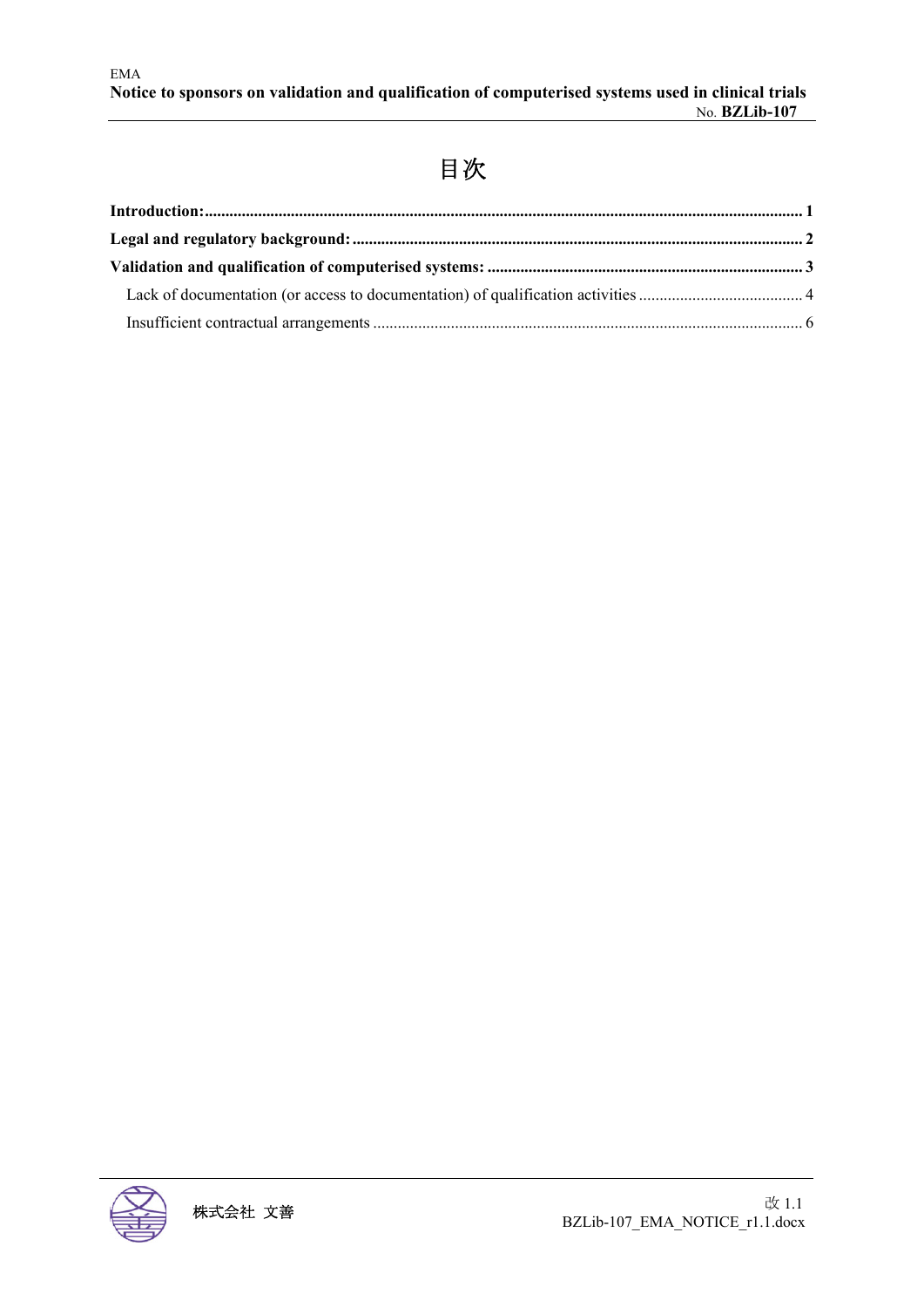# 目次

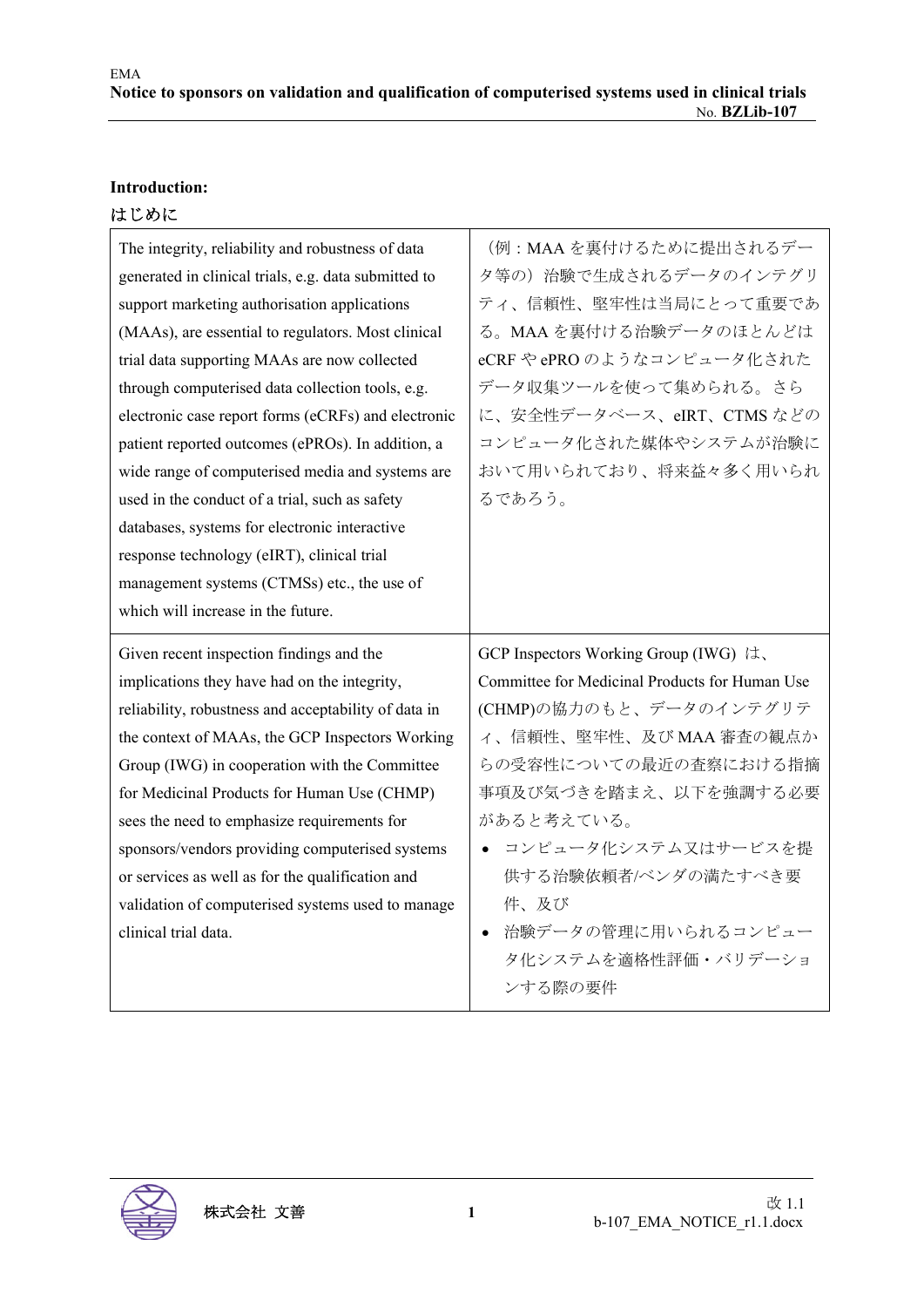### **Introduction:**

#### はじめに

| The integrity, reliability and robustness of data    | (例: MAAを裏付けるために提出されるデー                         |
|------------------------------------------------------|------------------------------------------------|
| generated in clinical trials, e.g. data submitted to | タ等の)治験で生成されるデータのインテグリ                          |
| support marketing authorisation applications         | ティ、信頼性、堅牢性は当局にとって重要であ                          |
| (MAAs), are essential to regulators. Most clinical   | る。MAAを裏付ける治験データのほとんどは                          |
| trial data supporting MAAs are now collected         | eCRF や ePRO のようなコンピュータ化された                     |
| through computerised data collection tools, e.g.     | データ収集ツールを使って集められる。さら                           |
| electronic case report forms (eCRFs) and electronic  | に、安全性データベース、eIRT、CTMS などの                      |
| patient reported outcomes (ePROs). In addition, a    | コンピュータ化された媒体やシステムが治験に                          |
| wide range of computerised media and systems are     | おいて用いられており、将来益々多く用いられ                          |
| used in the conduct of a trial, such as safety       | るであろう。                                         |
| databases, systems for electronic interactive        |                                                |
| response technology (eIRT), clinical trial           |                                                |
| management systems (CTMSs) etc., the use of          |                                                |
| which will increase in the future.                   |                                                |
|                                                      |                                                |
| Given recent inspection findings and the             | GCP Inspectors Working Group (IWG) は、          |
| implications they have had on the integrity,         | Committee for Medicinal Products for Human Use |
| reliability, robustness and acceptability of data in | (CHMP)の協力のもと、データのインテグリテ                        |
| the context of MAAs, the GCP Inspectors Working      | ィ、信頼性、堅牢性、及び MAA 審査の観点か                        |
| Group (IWG) in cooperation with the Committee        | らの受容性についての最近の査察における指摘                          |
| for Medicinal Products for Human Use (CHMP)          | 事項及び気づきを踏まえ、以下を強調する必要                          |
| sees the need to emphasize requirements for          | があると考えている。                                     |
| sponsors/vendors providing computerised systems      | ● コンピュータ化システム又はサービスを提                          |
| or services as well as for the qualification and     | 供する治験依頼者/ベンダの満たすべき要                            |
| validation of computerised systems used to manage    | 件、及び                                           |
| clinical trial data.                                 | 治験データの管理に用いられるコンピュー<br>$\bullet$               |
|                                                      | タ化システムを適格性評価・バリデーショ                            |

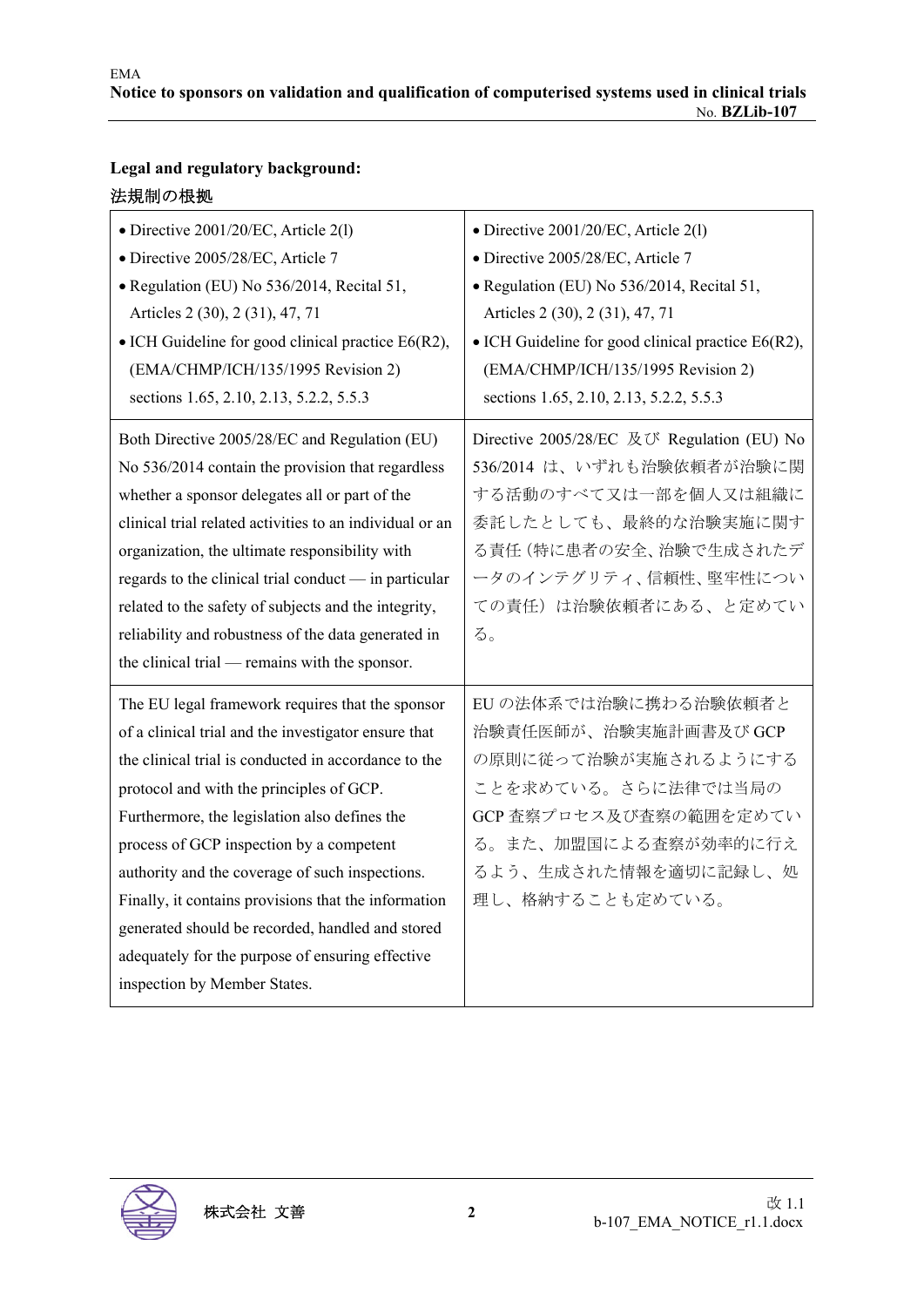| Legal and regulatory background: |  |
|----------------------------------|--|
| 法規制の根拠                           |  |

| • Directive 2001/20/EC, Article 2(1)<br>· Directive 2005/28/EC, Article 7<br>• Regulation (EU) No 536/2014, Recital 51,<br>Articles 2 (30), 2 (31), 47, 71<br>$\bullet$ ICH Guideline for good clinical practice E6(R2),<br>(EMA/CHMP/ICH/135/1995 Revision 2)<br>sections 1.65, 2.10, 2.13, 5.2.2, 5.5.3                                                                                                                                                                                                                                                    | • Directive 2001/20/EC, Article 2(1)<br>· Directive 2005/28/EC, Article 7<br>· Regulation (EU) No 536/2014, Recital 51,<br>Articles 2 (30), 2 (31), 47, 71<br>$\bullet$ ICH Guideline for good clinical practice E6(R2),<br>(EMA/CHMP/ICH/135/1995 Revision 2)<br>sections 1.65, 2.10, 2.13, 5.2.2, 5.5.3 |
|--------------------------------------------------------------------------------------------------------------------------------------------------------------------------------------------------------------------------------------------------------------------------------------------------------------------------------------------------------------------------------------------------------------------------------------------------------------------------------------------------------------------------------------------------------------|-----------------------------------------------------------------------------------------------------------------------------------------------------------------------------------------------------------------------------------------------------------------------------------------------------------|
| Both Directive 2005/28/EC and Regulation (EU)<br>No 536/2014 contain the provision that regardless<br>whether a sponsor delegates all or part of the<br>clinical trial related activities to an individual or an<br>organization, the ultimate responsibility with<br>regards to the clinical trial conduct — in particular<br>related to the safety of subjects and the integrity,<br>reliability and robustness of the data generated in<br>the clinical trial — remains with the sponsor.                                                                 | Directive 2005/28/EC 及び Regulation (EU) No<br>536/2014 は、いずれも治験依頼者が治験に関<br>する活動のすべて又は一部を個人又は組織に<br>委託したとしても、最終的な治験実施に関す<br>る責任(特に患者の安全、治験で生成されたデ<br>ータのインテグリティ、信頼性、堅牢性につい<br>ての責任)は治験依頼者にある、と定めてい<br>る。                                                                                                   |
| The EU legal framework requires that the sponsor<br>of a clinical trial and the investigator ensure that<br>the clinical trial is conducted in accordance to the<br>protocol and with the principles of GCP.<br>Furthermore, the legislation also defines the<br>process of GCP inspection by a competent<br>authority and the coverage of such inspections.<br>Finally, it contains provisions that the information<br>generated should be recorded, handled and stored<br>adequately for the purpose of ensuring effective<br>inspection by Member States. | EUの法体系では治験に携わる治験依頼者と<br>治験責任医師が、治験実施計画書及び GCP<br>の原則に従って治験が実施されるようにする<br>ことを求めている。さらに法律では当局の<br>GCP 査察プロセス及び査察の範囲を定めてい<br>る。また、加盟国による査察が効率的に行え<br>るよう、生成された情報を適切に記録し、処<br>理し、格納することも定めている。                                                                                                                |

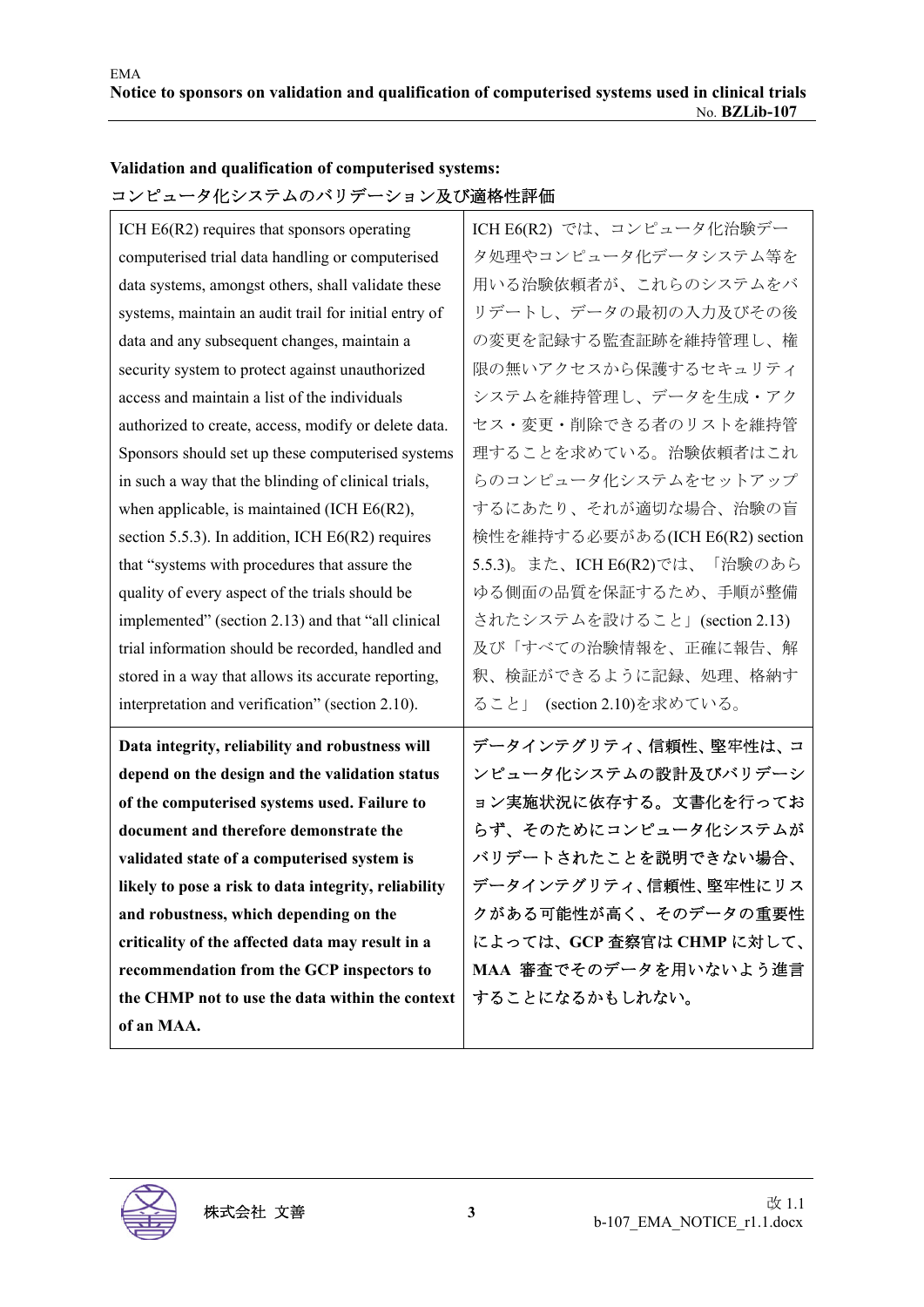## **Validation and qualification of computerised systems:**  コンピュータ化システムのバリデーション及び適格性評価

| ICH $E6(R2)$ requires that sponsors operating         | ICH E6(R2) では、コンピュータ化治験デー       |
|-------------------------------------------------------|---------------------------------|
| computerised trial data handling or computerised      | タ処理やコンピュータ化データシステム等を            |
| data systems, amongst others, shall validate these    | 用いる治験依頼者が、これらのシステムをバ            |
| systems, maintain an audit trail for initial entry of | リデートし、データの最初の入力及びその後            |
| data and any subsequent changes, maintain a           | の変更を記録する監査証跡を維持管理し、権            |
| security system to protect against unauthorized       | 限の無いアクセスから保護するセキュリティ            |
| access and maintain a list of the individuals         | システムを維持管理し、データを生成・アク            |
| authorized to create, access, modify or delete data.  | セス・変更・削除できる者のリストを維持管            |
| Sponsors should set up these computerised systems     | 理することを求めている。治験依頼者はこれ            |
| in such a way that the blinding of clinical trials,   | らのコンピュータ化システムをセットアップ            |
| when applicable, is maintained (ICH $E6(R2)$ ,        | するにあたり、それが適切な場合、治験の盲            |
| section 5.5.3). In addition, ICH E6(R2) requires      | 検性を維持する必要がある(ICH E6(R2) section |
| that "systems with procedures that assure the         | 5.5.3)。また、ICH E6(R2)では、「治験のあら   |
| quality of every aspect of the trials should be       | ゆる側面の品質を保証するため、手順が整備            |
| implemented" (section 2.13) and that "all clinical    | されたシステムを設けること」(section 2.13)    |
| trial information should be recorded, handled and     | 及び「すべての治験情報を、正確に報告、解            |
| stored in a way that allows its accurate reporting,   | 釈、検証ができるように記録、処理、格納す            |
| interpretation and verification" (section 2.10).      | ること」 (section 2.10)を求めている。      |
| Data integrity, reliability and robustness will       | データインテグリティ、信頼性、堅牢性は、コ           |
| depend on the design and the validation status        | ンピュータ化システムの設計及びバリデーシ            |
| of the computerised systems used. Failure to          | ョン実施状況に依存する。文書化を行ってお            |
| document and therefore demonstrate the                | らず、そのためにコンピュータ化システムが            |
| validated state of a computerised system is           | バリデートされたことを説明できない場合、            |
| likely to pose a risk to data integrity, reliability  | データインテグリティ、信頼性、堅牢性にリス           |
| and robustness, which depending on the                | クがある可能性が高く、そのデータの重要性            |
| criticality of the affected data may result in a      | によっては、GCP 査察官は CHMP に対して、       |
|                                                       |                                 |
| recommendation from the GCP inspectors to             | MAA 審査でそのデータを用いないよう進言           |
| the CHMP not to use the data within the context       | することになるかもしれない。                  |

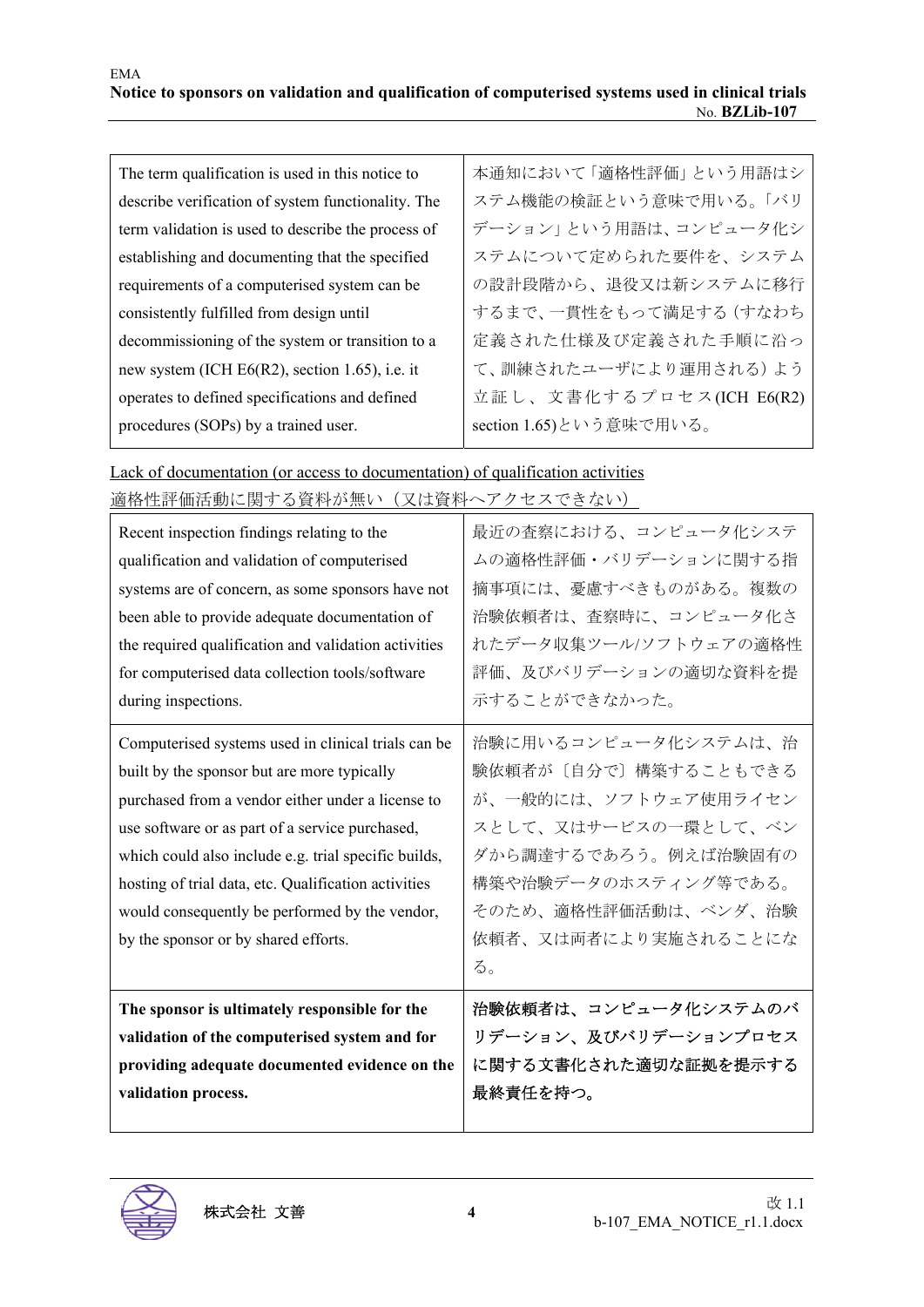| The term qualification is used in this notice to   | 本通知において「適格性評価」という用語はシ    |
|----------------------------------------------------|--------------------------|
| describe verification of system functionality. The | ステム機能の検証という意味で用いる。「バリ    |
| term validation is used to describe the process of | デーション」という用語は、コンピュータ化シ    |
| establishing and documenting that the specified    | ステムについて定められた要件を、システム     |
| requirements of a computerised system can be       | の設計段階から、退役又は新システムに移行     |
| consistently fulfilled from design until           | するまで、一貫性をもって満足する(すなわち    |
| decommissioning of the system or transition to a   | 定義された仕様及び定義された手順に沿っ      |
| new system (ICH $E6(R2)$ , section 1.65), i.e. it  | て、訓練されたユーザにより運用される)よう    |
| operates to defined specifications and defined     | 立証し、文書化するプロセス(ICH E6(R2) |
| procedures (SOPs) by a trained user.               | section 1.65)という意味で用いる。  |
|                                                    |                          |

Lack of documentation (or access to documentation) of qualification activities

| 適格性評価活動に関する資料が無い(又は資料へアクセスできない) |  |
|---------------------------------|--|
|                                 |  |

| Recent inspection findings relating to the           | 最近の査察における、コンピュータ化システ  |
|------------------------------------------------------|-----------------------|
| qualification and validation of computerised         | ムの適格性評価・バリデーションに関する指  |
| systems are of concern, as some sponsors have not    | 摘事項には、憂慮すべきものがある。複数の  |
| been able to provide adequate documentation of       | 治験依頼者は、査察時に、コンピュータ化さ  |
| the required qualification and validation activities | れたデータ収集ツール/ソフトウェアの適格性 |
| for computerised data collection tools/software      | 評価、及びバリデーションの適切な資料を提  |
| during inspections.                                  | 示することができなかった。         |
| Computerised systems used in clinical trials can be  | 治験に用いるコンピュータ化システムは、治  |
| built by the sponsor but are more typically          | 験依頼者が〔自分で〕構築することもできる  |
| purchased from a vendor either under a license to    | が、一般的には、ソフトウェア使用ライセン  |
| use software or as part of a service purchased,      | スとして、又はサービスの一環として、ベン  |
| which could also include e.g. trial specific builds, | ダから調達するであろう。例えば治験固有の  |
| hosting of trial data, etc. Qualification activities | 構築や治験データのホスティング等である。  |
| would consequently be performed by the vendor,       | そのため、適格性評価活動は、ベンダ、治験  |
| by the sponsor or by shared efforts.                 | 依頼者、又は両者により実施されることにな  |
|                                                      | る。                    |
| The sponsor is ultimately responsible for the        | 治験依頼者は、コンピュータ化システムのバ  |
| validation of the computerised system and for        | リデーション、及びバリデーションプロセス  |
| providing adequate documented evidence on the        | に関する文書化された適切な証拠を提示する  |
| validation process.                                  | 最終責任を持つ。              |
|                                                      |                       |

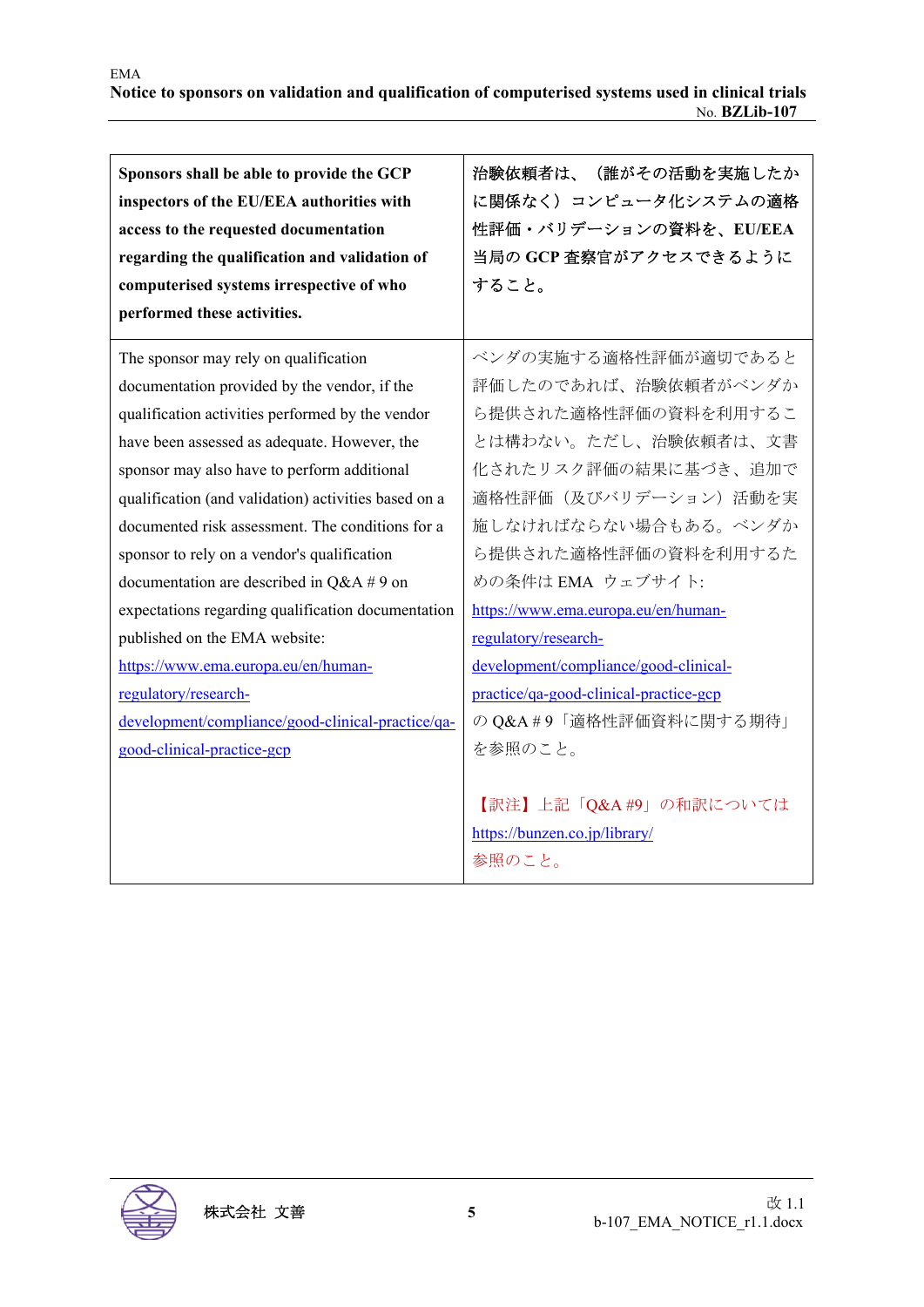| Sponsors shall be able to provide the GCP<br>inspectors of the EU/EEA authorities with<br>access to the requested documentation<br>regarding the qualification and validation of<br>computerised systems irrespective of who<br>performed these activities.                                                                                                                                                                                                                                                                                                                                                                                                                                  | 治験依頼者は、(誰がその活動を実施したか<br>に関係なく)コンピュータ化システムの適格<br>性評価・バリデーションの資料を、EU/EEA<br>当局の GCP 査察官がアクセスできるように<br>すること。                                                                                                                                                                                                                                                                                                 |
|----------------------------------------------------------------------------------------------------------------------------------------------------------------------------------------------------------------------------------------------------------------------------------------------------------------------------------------------------------------------------------------------------------------------------------------------------------------------------------------------------------------------------------------------------------------------------------------------------------------------------------------------------------------------------------------------|-----------------------------------------------------------------------------------------------------------------------------------------------------------------------------------------------------------------------------------------------------------------------------------------------------------------------------------------------------------------------------------------------------------|
| The sponsor may rely on qualification<br>documentation provided by the vendor, if the<br>qualification activities performed by the vendor<br>have been assessed as adequate. However, the<br>sponsor may also have to perform additional<br>qualification (and validation) activities based on a<br>documented risk assessment. The conditions for a<br>sponsor to rely on a vendor's qualification<br>documentation are described in $Q&A \# 9$ on<br>expectations regarding qualification documentation<br>published on the EMA website:<br>https://www.ema.europa.eu/en/human-<br>regulatory/research-<br>development/compliance/good-clinical-practice/qa-<br>good-clinical-practice-gcp | ベンダの実施する適格性評価が適切であると<br>評価したのであれば、治験依頼者がベンダか<br>ら提供された適格性評価の資料を利用するこ<br>とは構わない。ただし、治験依頼者は、文書<br>化されたリスク評価の結果に基づき、追加で<br>適格性評価(及びバリデーション)活動を実<br>施しなければならない場合もある。ベンダか<br>ら提供された適格性評価の資料を利用するた<br>めの条件は EMA ウェブサイト:<br>https://www.ema.europa.eu/en/human-<br>regulatory/research-<br>development/compliance/good-clinical-<br>practice/qa-good-clinical-practice-gcp<br>の Q&A #9「適格性評価資料に関する期待」<br>を参照のこと。 |
|                                                                                                                                                                                                                                                                                                                                                                                                                                                                                                                                                                                                                                                                                              | 【訳注】上記「Q&A #9」の和訳については<br>https://bunzen.co.jp/library/<br>参照のこと。                                                                                                                                                                                                                                                                                                                                         |

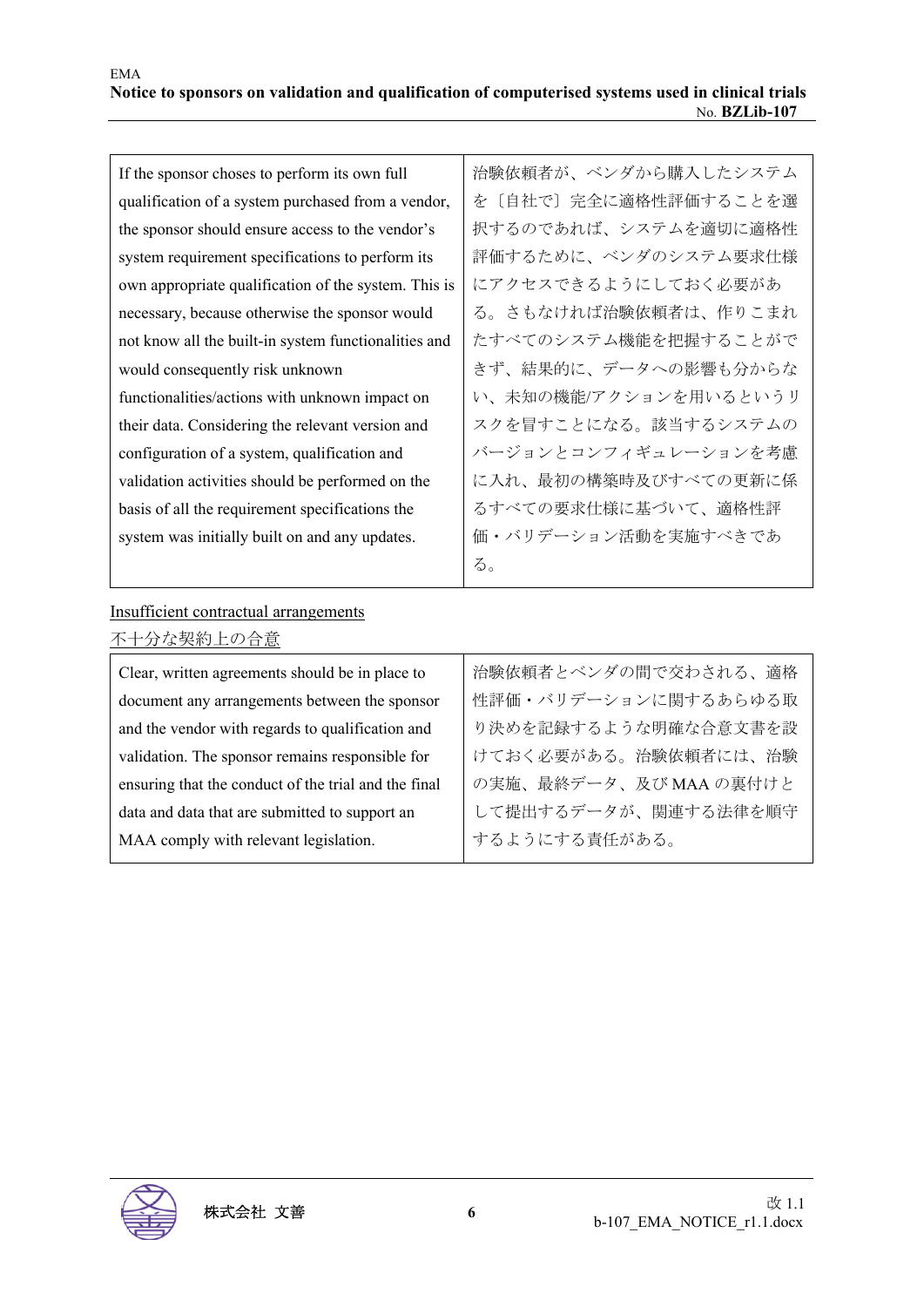| If the sponsor choses to perform its own full        | 治験依頼者が、ベンダから購入したシステム  |
|------------------------------------------------------|-----------------------|
| qualification of a system purchased from a vendor,   | を〔自社で〕完全に適格性評価することを選  |
| the sponsor should ensure access to the vendor's     | 択するのであれば、システムを適切に適格性  |
| system requirement specifications to perform its     | 評価するために、ベンダのシステム要求仕様  |
| own appropriate qualification of the system. This is | にアクセスできるようにしておく必要があ   |
| necessary, because otherwise the sponsor would       | る。さもなければ治験依頼者は、作りこまれ  |
| not know all the built-in system functionalities and | たすべてのシステム機能を把握することがで  |
| would consequently risk unknown                      | きず、結果的に、データへの影響も分からな  |
| functionalities/actions with unknown impact on       | い、未知の機能/アクションを用いるというリ |
| their data. Considering the relevant version and     | スクを冒すことになる。該当するシステムの  |
| configuration of a system, qualification and         | バージョンとコンフィギュレーションを考慮  |
| validation activities should be performed on the     | に入れ、最初の構築時及びすべての更新に係  |
| basis of all the requirement specifications the      | るすべての要求仕様に基づいて、適格性評   |
| system was initially built on and any updates.       | 価・バリデーション活動を実施すべきであ   |
|                                                      | る。                    |

#### Insufficient contractual arrangements

| 不十分な契約上の合意                                           |                        |
|------------------------------------------------------|------------------------|
| Clear, written agreements should be in place to      | 治験依頼者とベンダの間で交わされる、適格   |
| document any arrangements between the sponsor        | 性評価・バリデーションに関するあらゆる取   |
| and the vendor with regards to qualification and     | り決めを記録するような明確な合意文書を設   |
| validation. The sponsor remains responsible for      | けておく必要がある。治験依頼者には、治験   |
| ensuring that the conduct of the trial and the final | の実施、最終データ、及び MAA の裏付けと |
| data and data that are submitted to support an       | して提出するデータが、関連する法律を順守   |
| MAA comply with relevant legislation.                | するようにする責任がある。          |
|                                                      |                        |

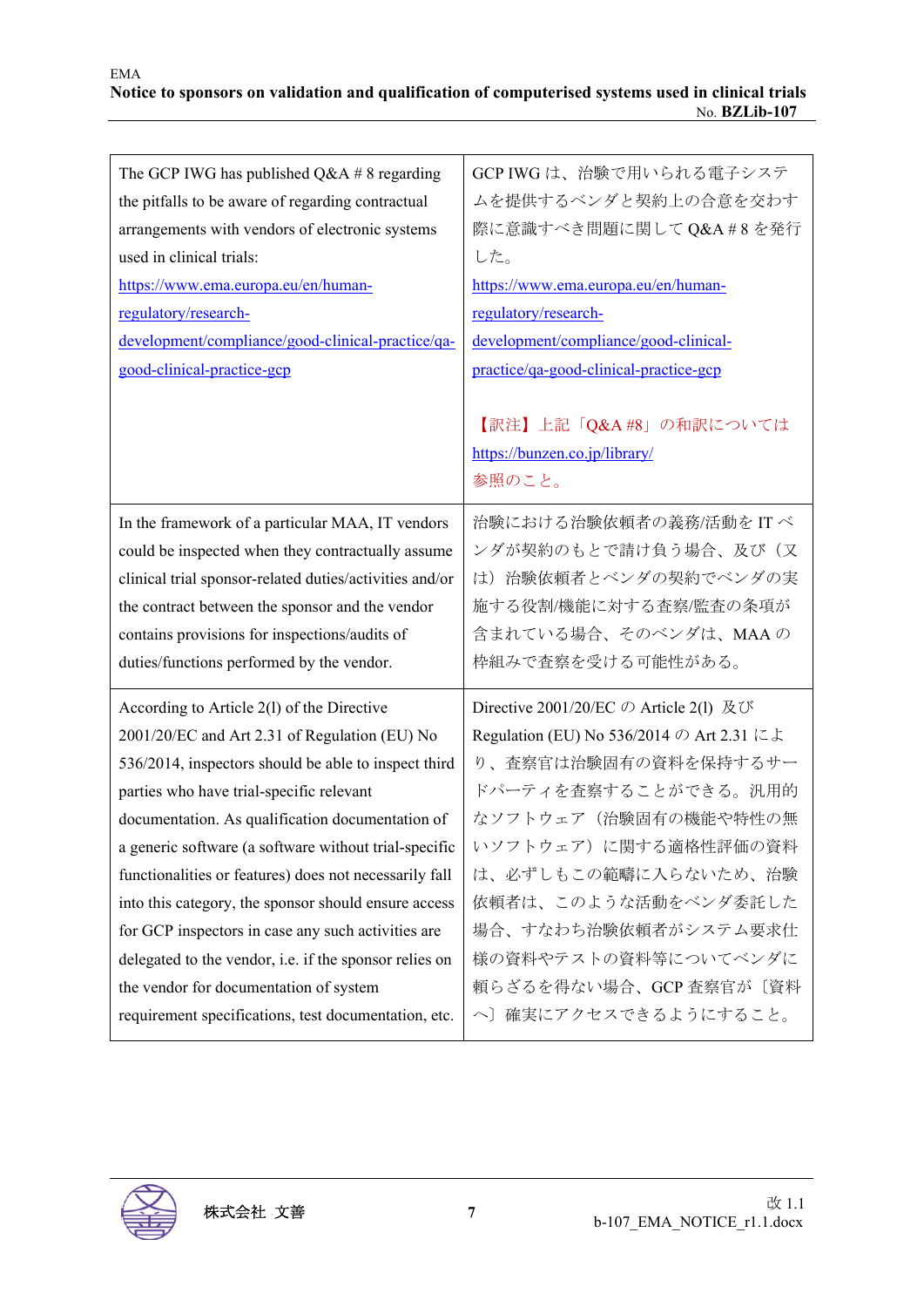| The GCP IWG has published $Q&A \# 8$ regarding          | GCP IWG は、治験で用いられる電子システ                                           |
|---------------------------------------------------------|-------------------------------------------------------------------|
| the pitfalls to be aware of regarding contractual       | ムを提供するベンダと契約上の合意を交わす                                              |
| arrangements with vendors of electronic systems         | 際に意識すべき問題に関してQ&A#8を発行                                             |
| used in clinical trials:                                | した。                                                               |
| https://www.ema.europa.eu/en/human-                     | https://www.ema.europa.eu/en/human-                               |
| regulatory/research-                                    | regulatory/research-                                              |
| development/compliance/good-clinical-practice/qa-       | development/compliance/good-clinical-                             |
| good-clinical-practice-gcp                              | practice/qa-good-clinical-practice-gcp                            |
|                                                         | 【訳注】上記「Q&A #8」の和訳については<br>https://bunzen.co.jp/library/<br>参照のこと。 |
| In the framework of a particular MAA, IT vendors        | 治験における治験依頼者の義務/活動をITベ                                             |
| could be inspected when they contractually assume       | ンダが契約のもとで請け負う場合、及び(又                                              |
| clinical trial sponsor-related duties/activities and/or | は) 治験依頼者とベンダの契約でベンダの実                                             |
| the contract between the sponsor and the vendor         | 施する役割/機能に対する査察/監査の条項が                                             |
| contains provisions for inspections/audits of           | 含まれている場合、そのベンダは、MAAの                                              |
| duties/functions performed by the vendor.               | 枠組みで査察を受ける可能性がある。                                                 |
| According to Article 2(1) of the Directive              | Directive 2001/20/EC $\oslash$ Article 2(1) 及び                    |
| 2001/20/EC and Art 2.31 of Regulation (EU) No           | Regulation (EU) No 536/2014 の Art 2.31 によ                         |
| 536/2014, inspectors should be able to inspect third    | り、査察官は治験固有の資料を保持するサー                                              |
| parties who have trial-specific relevant                | ドパーティを査察することができる。汎用的                                              |
| documentation. As qualification documentation of        | なソフトウェア(治験固有の機能や特性の無                                              |
| a generic software (a software without trial-specific   | いソフトウェア)に関する適格性評価の資料                                              |
| functionalities or features) does not necessarily fall  | は、必ずしもこの範疇に入らないため、治験                                              |
| into this category, the sponsor should ensure access    | 依頼者は、このような活動をベンダ委託した                                              |
| for GCP inspectors in case any such activities are      | 場合、すなわち治験依頼者がシステム要求仕                                              |
| delegated to the vendor, i.e. if the sponsor relies on  | 様の資料やテストの資料等についてベンダに                                              |
| the vendor for documentation of system                  | 頼らざるを得ない場合、GCP 査察官が〔資料                                            |
| requirement specifications, test documentation, etc.    | へ〕確実にアクセスできるようにすること。                                              |